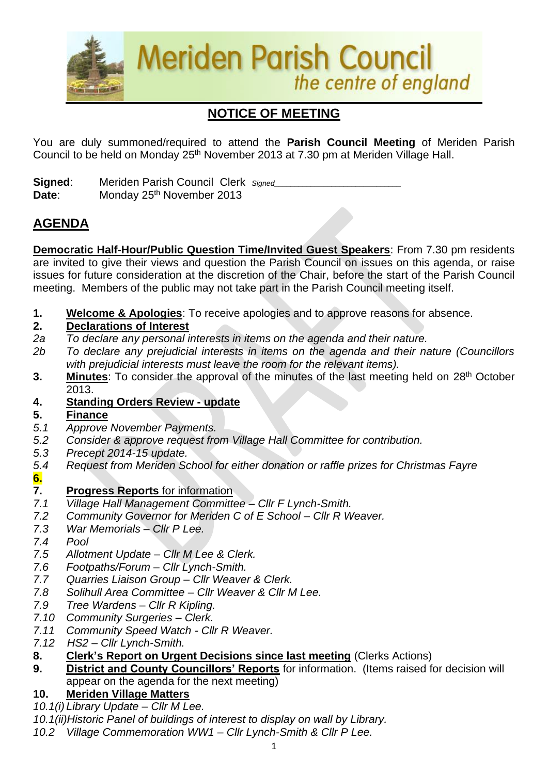

# **NOTICE OF MEETING**

You are duly summoned/required to attend the **Parish Council Meeting** of Meriden Parish Council to be held on Monday 25<sup>th</sup> November 2013 at 7.30 pm at Meriden Village Hall.

**Signed:** Meriden Parish Council Clerk *Signed* Date: Monday 25<sup>th</sup> November 2013

## **AGENDA**

**Democratic Half-Hour/Public Question Time/Invited Guest Speakers**: From 7.30 pm residents are invited to give their views and question the Parish Council on issues on this agenda, or raise issues for future consideration at the discretion of the Chair, before the start of the Parish Council meeting. Members of the public may not take part in the Parish Council meeting itself.

**1. Welcome & Apologies**: To receive apologies and to approve reasons for absence.

## **2. Declarations of Interest**

- *2a To declare any personal interests in items on the agenda and their nature.*
- *2b To declare any prejudicial interests in items on the agenda and their nature (Councillors with prejudicial interests must leave the room for the relevant items).*
- 3. Minutes: To consider the approval of the minutes of the last meeting held on 28<sup>th</sup> October 2013.
- **4. Standing Orders Review - update**
- **5. Finance**
- *5.1 Approve November Payments.*
- *5.2 Consider & approve request from Village Hall Committee for contribution.*
- *5.3 Precept 2014-15 update.*
- *5.4 Request from Meriden School for either donation or raffle prizes for Christmas Fayre* **6.**

## **7. Progress Reports** for information

- *7.1 Village Hall Management Committee – Cllr F Lynch-Smith.*
- *7.2 Community Governor for Meriden C of E School – Cllr R Weaver.*
- *7.3 War Memorials – Cllr P Lee.*
- *7.4 Pool*
- *7.5 Allotment Update – Cllr M Lee & Clerk.*
- *7.6 Footpaths/Forum – Cllr Lynch-Smith.*
- *7.7 Quarries Liaison Group – Cllr Weaver & Clerk.*
- *7.8 Solihull Area Committee – Cllr Weaver & Cllr M Lee.*
- *7.9 Tree Wardens – Cllr R Kipling.*
- *7.10 Community Surgeries – Clerk.*
- *7.11 Community Speed Watch - Cllr R Weaver.*
- *7.12 HS2 – Cllr Lynch-Smith.*

## **8. Clerk's Report on Urgent Decisions since last meeting** (Clerks Actions)

**9. District and County Councillors' Reports** for information. (Items raised for decision will appear on the agenda for the next meeting)

## **10. Meriden Village Matters**

- *10.1(i) Library Update – Cllr M Lee.*
- *10.1(ii)Historic Panel of buildings of interest to display on wall by Library.*
- *10.2 Village Commemoration WW1 – Cllr Lynch-Smith & Cllr P Lee.*